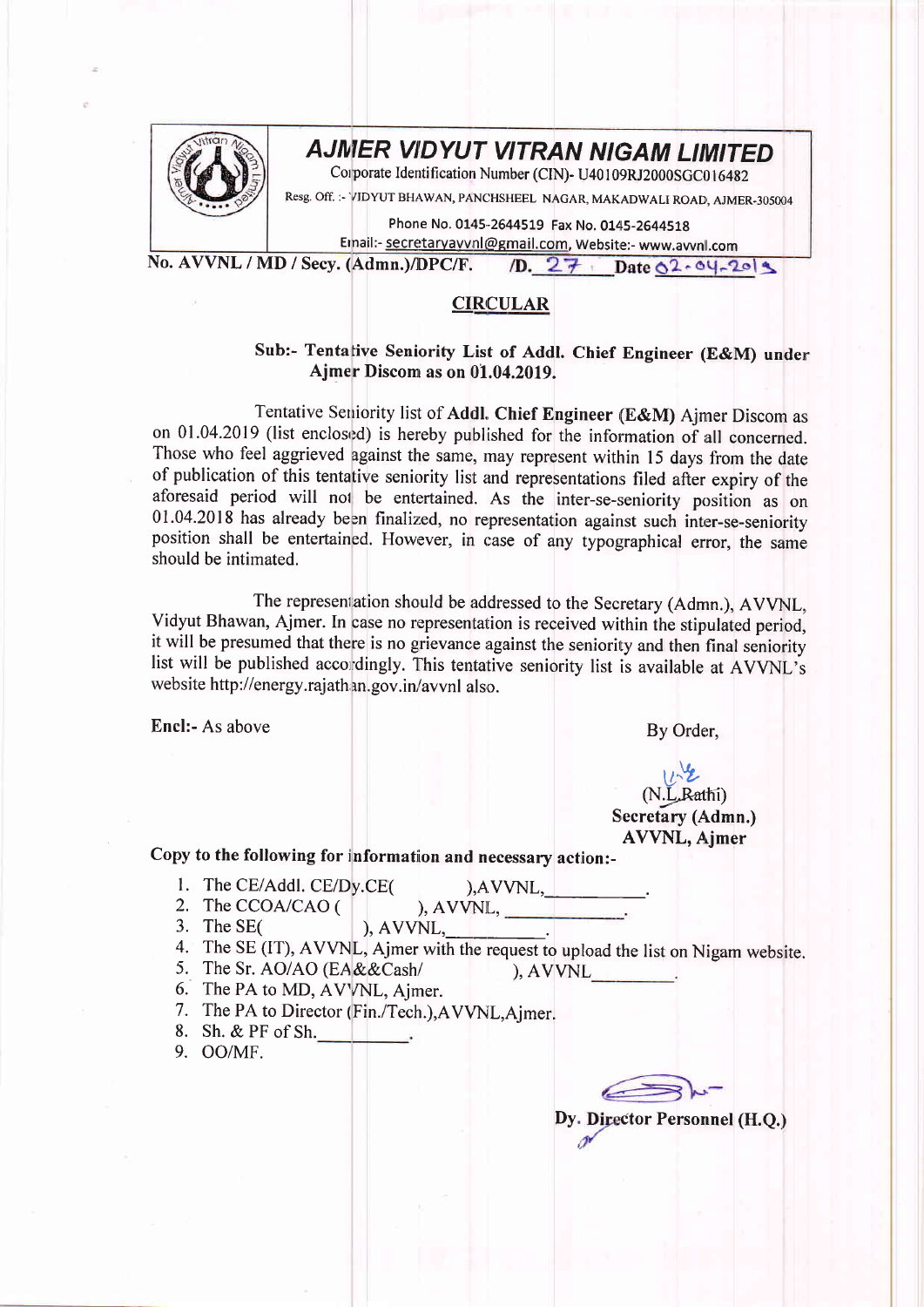

## **AJMER VIDYUT VITRAN NIGAM LIMITED**

Corporate Identification Number (CIN)- U40109RJ2000SGC016482

Resg. Off. :- VIDYUT BHAWAN, PANCHSHEEL NAGAR, MAKADWALI ROAD, AJMER-305004

Phone No. 0145-2644519 Fax No. 0145-2644518

Email:- secretaryayvnl@gmail.com, Website:- www.avvnl.com

No. AVVNL / MD / Secv. (Admn.)/DPC/F. 1D. 27 Date 02.04-2019

## **CIRCULAR**

## Sub:- Tentative Seniority List of Addl. Chief Engineer (E&M) under Ajmer Discom as on 01.04.2019.

Tentative Seniority list of Addl. Chief Engineer (E&M) Ajmer Discom as on 01.04.2019 (list enclosed) is hereby published for the information of all concerned. Those who feel aggrieved against the same, may represent within 15 days from the date of publication of this tentative seniority list and representations filed after expiry of the aforesaid period will not be entertained. As the inter-se-seniority position as on 01.04.2018 has already been finalized, no representation against such inter-se-seniority position shall be entertained. However, in case of any typographical error, the same should be intimated.

The representation should be addressed to the Secretary (Admn.), AVVNL, Vidyut Bhawan, Ajmer. In case no representation is received within the stipulated period, it will be presumed that there is no grievance against the seniority and then final seniority list will be published accordingly. This tentative seniority list is available at AVVNL's website http://energy.rajathan.gov.in/avvnl also.

Encl:- As above

By Order,

## (N.L.Rathi) Secretary (Admn.) **AVVNL**, Ajmer

Copy to the following for information and necessary action:-

1. The CE/Addl. CE/Dy.CE(

 $AVVNL,$ <br>,  $AVVNL,$ 

- 2. The CCOA/CAO ( ),  $AVVNL$ ,  $\qquad$ 3. The  $SE($
- 4. The SE (IT), AVVNL, Ajmer with the request to upload the list on Nigam website.
- 5. The Sr. AO/AO (EA&&Cash/  $AVVNL$
- 6. The PA to MD, AVVNL, Ajmer.
- 7. The PA to Director (Fin./Tech.), AVVNL, Ajmer.
- 8. Sh. & PF of Sh.
- 9. OO/MF.

Dy. Director Personnel (H.O.)